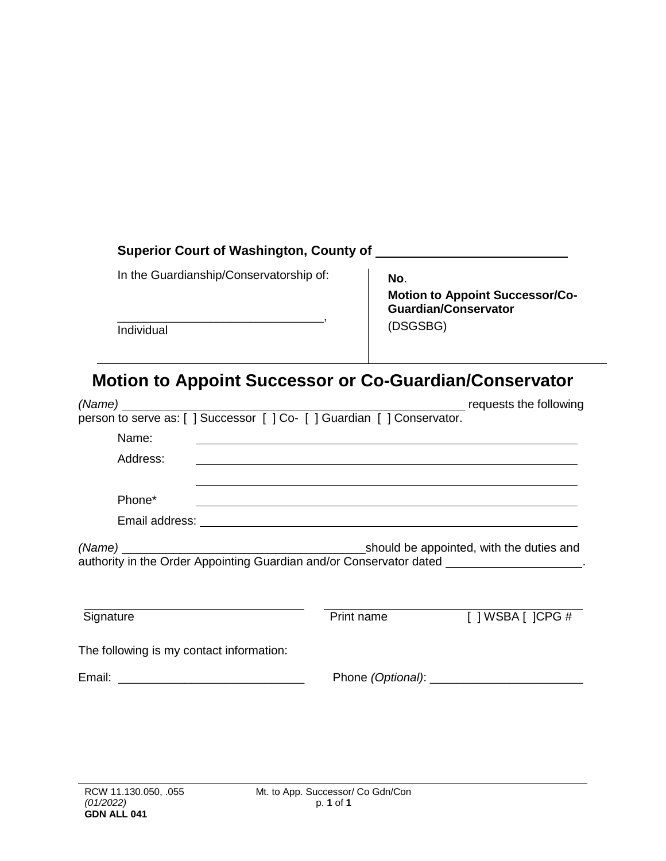### **Superior Court of Washington, County of**

In the Guardianship/Conservatorship of:

**No**.

\_\_\_\_\_\_\_\_\_\_\_\_\_\_\_\_\_\_\_\_\_\_\_\_\_\_\_\_\_\_\_, **Individual** 

**Motion to Appoint Successor/Co-Guardian/Conservator** (DSGSBG)

# **Motion to Appoint Successor or Co-Guardian/Conservator**

| Name:                                                                                                |            |                                     |  |  |  |
|------------------------------------------------------------------------------------------------------|------------|-------------------------------------|--|--|--|
| Address:                                                                                             |            |                                     |  |  |  |
|                                                                                                      |            |                                     |  |  |  |
| Phone*                                                                                               |            |                                     |  |  |  |
|                                                                                                      |            |                                     |  |  |  |
| authority in the Order Appointing Guardian and/or Conservator dated ________________________________ |            |                                     |  |  |  |
|                                                                                                      |            |                                     |  |  |  |
| Signature                                                                                            | Print name | $\lceil$   WSBA $\lceil$   CPG $\#$ |  |  |  |
| The following is my contact information:                                                             |            |                                     |  |  |  |
|                                                                                                      |            |                                     |  |  |  |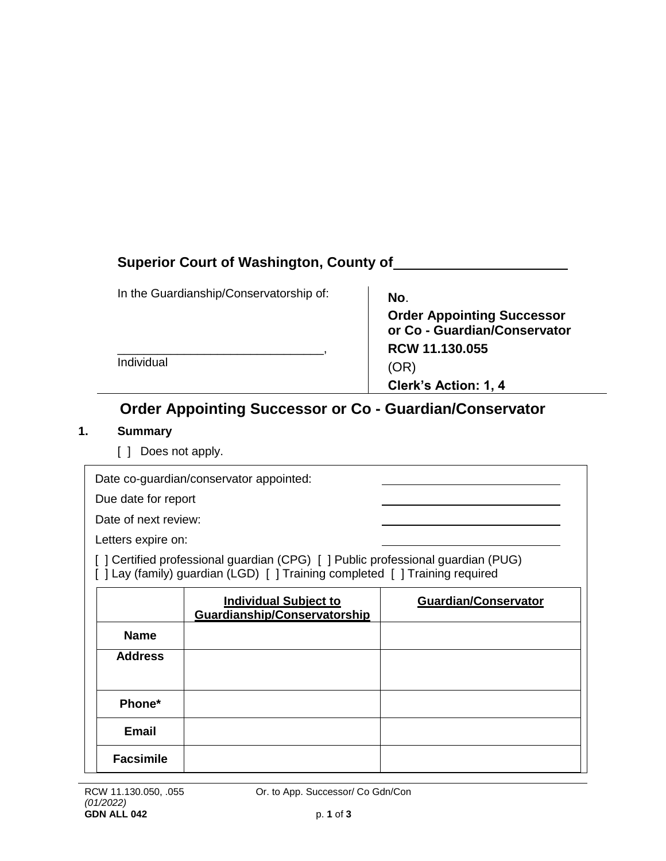### **Superior Court of Washington, County of**

| In the Guardianship/Conservatorship of: | No.                                                               |
|-----------------------------------------|-------------------------------------------------------------------|
|                                         | <b>Order Appointing Successor</b><br>or Co - Guardian/Conservator |
|                                         | RCW 11.130.055                                                    |
| Individual                              | (OR)                                                              |
|                                         | Clerk's Action: 1, 4                                              |

## **Order Appointing Successor or Co - Guardian/Conservator**

#### **1. Summary**

[ ] Does not apply.

|                                                                                                                                                                | Date co-guardian/conservator appointed:                      |                             |  |  |  |
|----------------------------------------------------------------------------------------------------------------------------------------------------------------|--------------------------------------------------------------|-----------------------------|--|--|--|
| Due date for report                                                                                                                                            |                                                              |                             |  |  |  |
| Date of next review:                                                                                                                                           |                                                              |                             |  |  |  |
| Letters expire on:                                                                                                                                             |                                                              |                             |  |  |  |
| [] Certified professional guardian (CPG) [] Public professional guardian (PUG)<br>[ ] Lay (family) guardian (LGD) [ ] Training completed [ ] Training required |                                                              |                             |  |  |  |
|                                                                                                                                                                | <b>Individual Subject to</b><br>Guardianship/Conservatorship | <b>Guardian/Conservator</b> |  |  |  |
| <b>Name</b>                                                                                                                                                    |                                                              |                             |  |  |  |
| <b>Address</b>                                                                                                                                                 |                                                              |                             |  |  |  |
| Phone*                                                                                                                                                         |                                                              |                             |  |  |  |
| <b>Email</b>                                                                                                                                                   |                                                              |                             |  |  |  |

**Facsimile**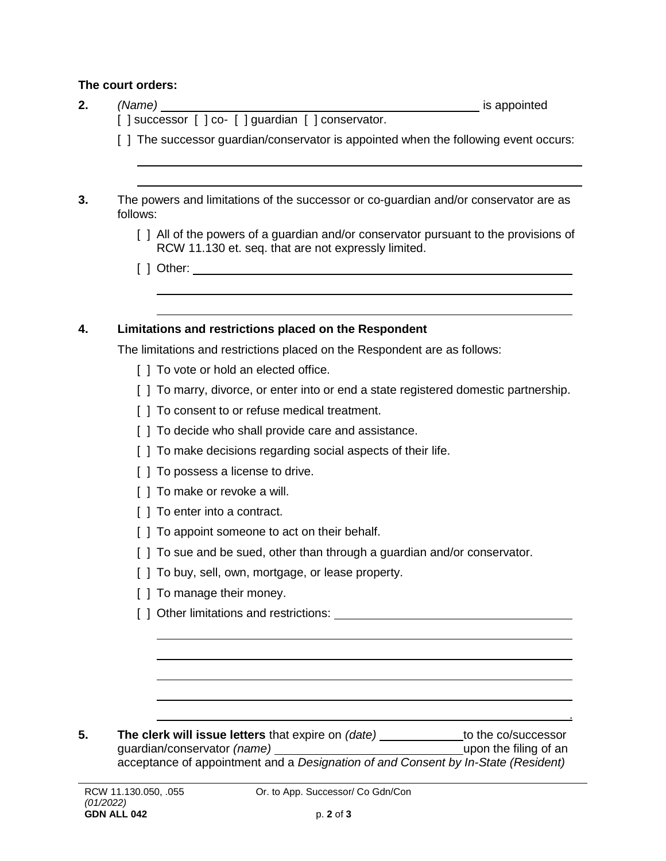#### **The court orders:**

| (Name) $\_$ | <u>__________________________________</u> is appointed<br>[] successor [] co- [] guardian [] conservator.                                   |
|-------------|---------------------------------------------------------------------------------------------------------------------------------------------|
|             | [ ] The successor guardian/conservator is appointed when the following event occurs:                                                        |
|             |                                                                                                                                             |
|             | The powers and limitations of the successor or co-guardian and/or conservator are as                                                        |
| follows:    |                                                                                                                                             |
|             | [ ] All of the powers of a guardian and/or conservator pursuant to the provisions of<br>RCW 11.130 et. seq. that are not expressly limited. |
|             |                                                                                                                                             |
|             |                                                                                                                                             |
|             | Limitations and restrictions placed on the Respondent                                                                                       |
|             | The limitations and restrictions placed on the Respondent are as follows:<br>[] To vote or hold an elected office.                          |
|             | [ ] To marry, divorce, or enter into or end a state registered domestic partnership.                                                        |
|             | [ ] To consent to or refuse medical treatment.                                                                                              |
|             |                                                                                                                                             |
|             | [] To decide who shall provide care and assistance.                                                                                         |
|             | [] To make decisions regarding social aspects of their life.<br>[ ] To possess a license to drive.                                          |
|             | [ ] To make or revoke a will.                                                                                                               |
|             | [ ] To enter into a contract.                                                                                                               |
|             | [] To appoint someone to act on their behalf.                                                                                               |
|             | [] To sue and be sued, other than through a guardian and/or conservator.                                                                    |
|             | To buy, sell, own, mortgage, or lease property.                                                                                             |
|             | [] To manage their money.                                                                                                                   |
|             |                                                                                                                                             |
|             |                                                                                                                                             |
|             |                                                                                                                                             |
|             |                                                                                                                                             |
|             | The clerk will issue letters that expire on (date) ___________to the co/successor                                                           |

acceptance of appointment and a *Designation of and Consent by In-State (Resident)*